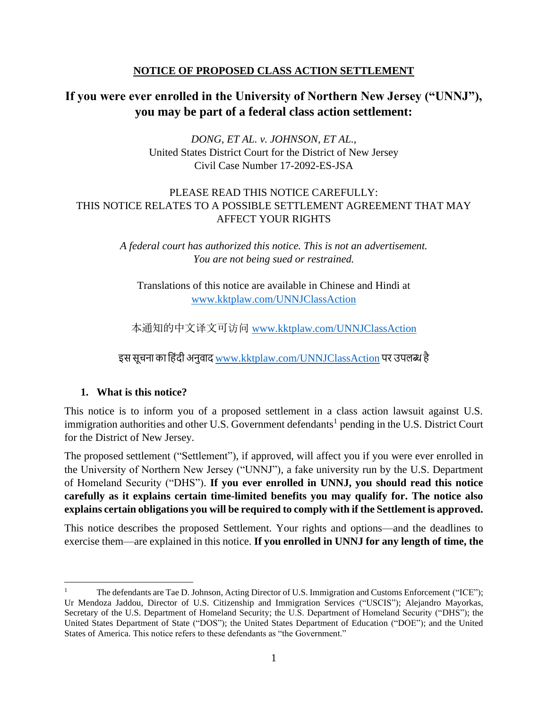### **NOTICE OF PROPOSED CLASS ACTION SETTLEMENT**

# **If you were ever enrolled in the University of Northern New Jersey ("UNNJ"), you may be part of a federal class action settlement:**

*DONG, ET AL. v. JOHNSON, ET AL.*, United States District Court for the District of New Jersey Civil Case Number 17-2092-ES-JSA

### PLEASE READ THIS NOTICE CAREFULLY: THIS NOTICE RELATES TO A POSSIBLE SETTLEMENT AGREEMENT THAT MAY AFFECT YOUR RIGHTS

*A federal court has authorized this notice. This is not an advertisement. You are not being sued or restrained.*

Translations of this notice are available in Chinese and Hindi at [www.kktplaw.com/UNNJClassAction](http://www.kktplaw.com/UNNJClassAction)

本通知的中文译文可访问 [www.kktplaw.com/UNNJClassAction](http://www.kktplaw.com/UNNJClassAction)

इस सूचना का हिंदी अनुवाद [www.kktplaw.com/UNNJClassAction](http://www.kktplaw.com/UNNJClassAction) पर उपलब्ध है

#### **1. What is this notice?**

This notice is to inform you of a proposed settlement in a class action lawsuit against U.S. immigration authorities and other U.S. Government defendants<sup>1</sup> pending in the U.S. District Court for the District of New Jersey.

The proposed settlement ("Settlement"), if approved, will affect you if you were ever enrolled in the University of Northern New Jersey ("UNNJ"), a fake university run by the U.S. Department of Homeland Security ("DHS"). **If you ever enrolled in UNNJ, you should read this notice carefully as it explains certain time-limited benefits you may qualify for. The notice also explains certain obligations you will be required to comply with if the Settlement is approved.**

This notice describes the proposed Settlement. Your rights and options—and the deadlines to exercise them—are explained in this notice. **If you enrolled in UNNJ for any length of time, the** 

<sup>1</sup> The defendants are Tae D. Johnson, Acting Director of U.S. Immigration and Customs Enforcement ("ICE"); Ur Mendoza Jaddou, Director of U.S. Citizenship and Immigration Services ("USCIS"); Alejandro Mayorkas, Secretary of the U.S. Department of Homeland Security; the U.S. Department of Homeland Security ("DHS"); the United States Department of State ("DOS"); the United States Department of Education ("DOE"); and the United States of America. This notice refers to these defendants as "the Government."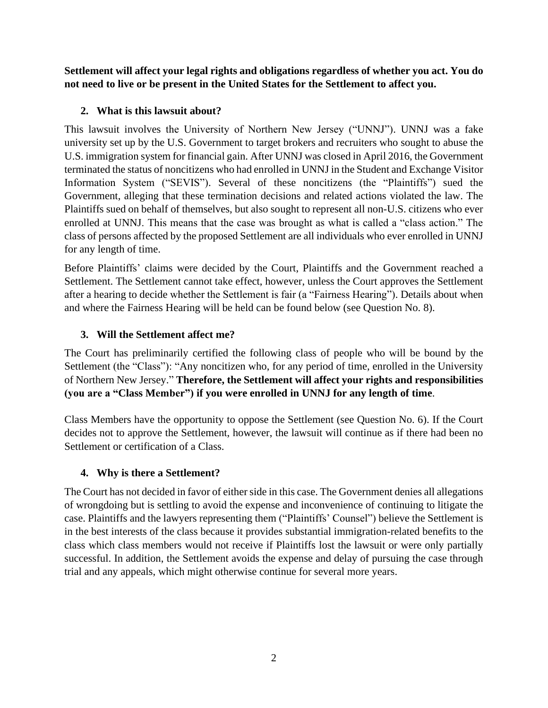**Settlement will affect your legal rights and obligations regardless of whether you act. You do not need to live or be present in the United States for the Settlement to affect you.** 

### **2. What is this lawsuit about?**

This lawsuit involves the University of Northern New Jersey ("UNNJ"). UNNJ was a fake university set up by the U.S. Government to target brokers and recruiters who sought to abuse the U.S. immigration system for financial gain. After UNNJ was closed in April 2016, the Government terminated the status of noncitizens who had enrolled in UNNJ in the Student and Exchange Visitor Information System ("SEVIS"). Several of these noncitizens (the "Plaintiffs") sued the Government, alleging that these termination decisions and related actions violated the law. The Plaintiffs sued on behalf of themselves, but also sought to represent all non-U.S. citizens who ever enrolled at UNNJ. This means that the case was brought as what is called a "class action." The class of persons affected by the proposed Settlement are all individuals who ever enrolled in UNNJ for any length of time.

Before Plaintiffs' claims were decided by the Court, Plaintiffs and the Government reached a Settlement. The Settlement cannot take effect, however, unless the Court approves the Settlement after a hearing to decide whether the Settlement is fair (a "Fairness Hearing"). Details about when and where the Fairness Hearing will be held can be found below (see Question No. 8).

### **3. Will the Settlement affect me?**

The Court has preliminarily certified the following class of people who will be bound by the Settlement (the "Class"): "Any noncitizen who, for any period of time, enrolled in the University of Northern New Jersey." **Therefore, the Settlement will affect your rights and responsibilities (you are a "Class Member") if you were enrolled in UNNJ for any length of time**.

Class Members have the opportunity to oppose the Settlement (see Question No. 6). If the Court decides not to approve the Settlement, however, the lawsuit will continue as if there had been no Settlement or certification of a Class.

### **4. Why is there a Settlement?**

The Court has not decided in favor of either side in this case. The Government denies all allegations of wrongdoing but is settling to avoid the expense and inconvenience of continuing to litigate the case. Plaintiffs and the lawyers representing them ("Plaintiffs' Counsel") believe the Settlement is in the best interests of the class because it provides substantial immigration-related benefits to the class which class members would not receive if Plaintiffs lost the lawsuit or were only partially successful. In addition, the Settlement avoids the expense and delay of pursuing the case through trial and any appeals, which might otherwise continue for several more years.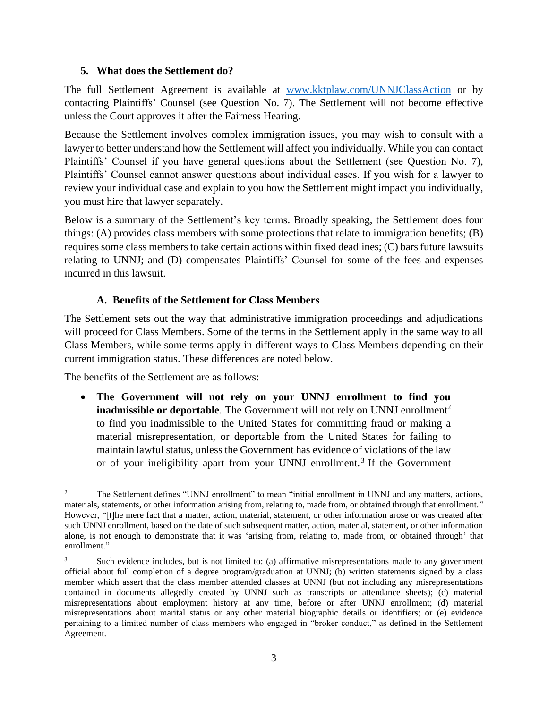#### **5. What does the Settlement do?**

The full Settlement Agreement is available at [www.kktplaw.com/UNNJClassAction](http://www.kktplaw.com/UNNJClassAction) or by contacting Plaintiffs' Counsel (see Question No. 7). The Settlement will not become effective unless the Court approves it after the Fairness Hearing.

Because the Settlement involves complex immigration issues, you may wish to consult with a lawyer to better understand how the Settlement will affect you individually. While you can contact Plaintiffs' Counsel if you have general questions about the Settlement (see Question No. 7), Plaintiffs' Counsel cannot answer questions about individual cases. If you wish for a lawyer to review your individual case and explain to you how the Settlement might impact you individually, you must hire that lawyer separately.

Below is a summary of the Settlement's key terms. Broadly speaking, the Settlement does four things: (A) provides class members with some protections that relate to immigration benefits; (B) requires some class members to take certain actions within fixed deadlines; (C) bars future lawsuits relating to UNNJ; and (D) compensates Plaintiffs' Counsel for some of the fees and expenses incurred in this lawsuit.

#### **A. Benefits of the Settlement for Class Members**

The Settlement sets out the way that administrative immigration proceedings and adjudications will proceed for Class Members. Some of the terms in the Settlement apply in the same way to all Class Members, while some terms apply in different ways to Class Members depending on their current immigration status. These differences are noted below.

The benefits of the Settlement are as follows:

• **The Government will not rely on your UNNJ enrollment to find you inadmissible or deportable**. The Government will not rely on UNNJ enrollment<sup>2</sup> to find you inadmissible to the United States for committing fraud or making a material misrepresentation, or deportable from the United States for failing to maintain lawful status, unless the Government has evidence of violations of the law or of your ineligibility apart from your UNNJ enrollment.<sup>3</sup> If the Government

<sup>&</sup>lt;sup>2</sup> The Settlement defines "UNNJ enrollment" to mean "initial enrollment in UNNJ and any matters, actions, materials, statements, or other information arising from, relating to, made from, or obtained through that enrollment." However, "[t]he mere fact that a matter, action, material, statement, or other information arose or was created after such UNNJ enrollment, based on the date of such subsequent matter, action, material, statement, or other information alone, is not enough to demonstrate that it was 'arising from, relating to, made from, or obtained through' that enrollment."

<sup>&</sup>lt;sup>3</sup> Such evidence includes, but is not limited to: (a) affirmative misrepresentations made to any government official about full completion of a degree program/graduation at UNNJ; (b) written statements signed by a class member which assert that the class member attended classes at UNNJ (but not including any misrepresentations contained in documents allegedly created by UNNJ such as transcripts or attendance sheets); (c) material misrepresentations about employment history at any time, before or after UNNJ enrollment; (d) material misrepresentations about marital status or any other material biographic details or identifiers; or (e) evidence pertaining to a limited number of class members who engaged in "broker conduct," as defined in the Settlement Agreement.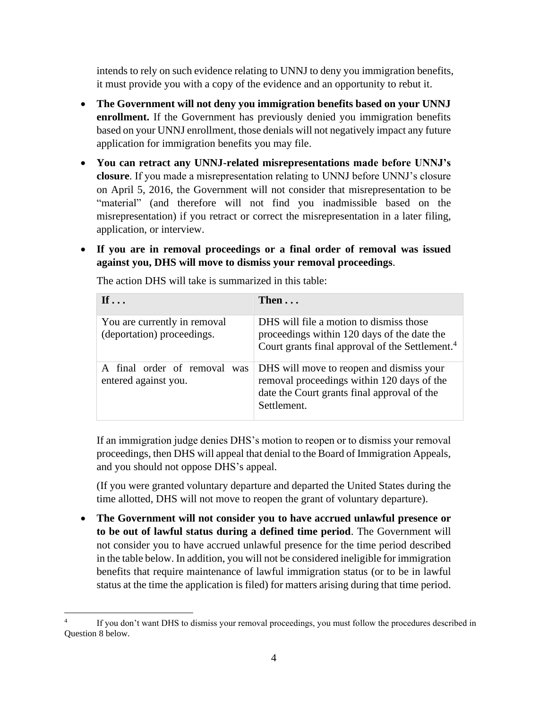intends to rely on such evidence relating to UNNJ to deny you immigration benefits, it must provide you with a copy of the evidence and an opportunity to rebut it.

- **The Government will not deny you immigration benefits based on your UNNJ enrollment.** If the Government has previously denied you immigration benefits based on your UNNJ enrollment, those denials will not negatively impact any future application for immigration benefits you may file.
- **You can retract any UNNJ-related misrepresentations made before UNNJ's closure**. If you made a misrepresentation relating to UNNJ before UNNJ's closure on April 5, 2016, the Government will not consider that misrepresentation to be "material" (and therefore will not find you inadmissible based on the misrepresentation) if you retract or correct the misrepresentation in a later filing, application, or interview.
- **If you are in removal proceedings or a final order of removal was issued against you, DHS will move to dismiss your removal proceedings**.

| If $\dots$                                                 | Then $\ldots$                                                                                                                                         |
|------------------------------------------------------------|-------------------------------------------------------------------------------------------------------------------------------------------------------|
| You are currently in removal<br>(deportation) proceedings. | DHS will file a motion to dismiss those<br>proceedings within 120 days of the date the<br>Court grants final approval of the Settlement. <sup>4</sup> |
| A final order of removal<br>was<br>entered against you.    | DHS will move to reopen and dismiss your<br>removal proceedings within 120 days of the<br>date the Court grants final approval of the<br>Settlement.  |

The action DHS will take is summarized in this table:

If an immigration judge denies DHS's motion to reopen or to dismiss your removal proceedings, then DHS will appeal that denial to the Board of Immigration Appeals, and you should not oppose DHS's appeal.

(If you were granted voluntary departure and departed the United States during the time allotted, DHS will not move to reopen the grant of voluntary departure).

• **The Government will not consider you to have accrued unlawful presence or to be out of lawful status during a defined time period**. The Government will not consider you to have accrued unlawful presence for the time period described in the table below. In addition, you will not be considered ineligible for immigration benefits that require maintenance of lawful immigration status (or to be in lawful status at the time the application is filed) for matters arising during that time period.

<sup>4</sup> If you don't want DHS to dismiss your removal proceedings, you must follow the procedures described in Question 8 below.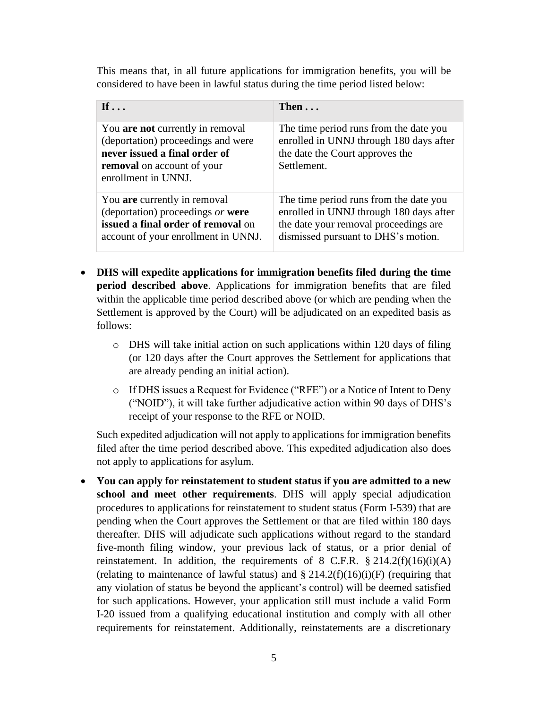This means that, in all future applications for immigration benefits, you will be considered to have been in lawful status during the time period listed below:

| If $\ldots$                                                                                                                                                  | Then $\ldots$                                                                                                                                                     |
|--------------------------------------------------------------------------------------------------------------------------------------------------------------|-------------------------------------------------------------------------------------------------------------------------------------------------------------------|
| You are not currently in removal<br>(deportation) proceedings and were<br>never issued a final order of<br>removal on account of your<br>enrollment in UNNJ. | The time period runs from the date you<br>enrolled in UNNJ through 180 days after<br>the date the Court approves the<br>Settlement.                               |
| You are currently in removal<br>(deportation) proceedings or were<br>issued a final order of removal on<br>account of your enrollment in UNNJ.               | The time period runs from the date you<br>enrolled in UNNJ through 180 days after<br>the date your removal proceedings are<br>dismissed pursuant to DHS's motion. |

- **DHS will expedite applications for immigration benefits filed during the time period described above**. Applications for immigration benefits that are filed within the applicable time period described above (or which are pending when the Settlement is approved by the Court) will be adjudicated on an expedited basis as follows:
	- $\circ$  DHS will take initial action on such applications within 120 days of filing (or 120 days after the Court approves the Settlement for applications that are already pending an initial action).
	- o If DHS issues a Request for Evidence ("RFE") or a Notice of Intent to Deny ("NOID"), it will take further adjudicative action within 90 days of DHS's receipt of your response to the RFE or NOID.

Such expedited adjudication will not apply to applications for immigration benefits filed after the time period described above. This expedited adjudication also does not apply to applications for asylum.

• **You can apply for reinstatement to student status if you are admitted to a new school and meet other requirements**. DHS will apply special adjudication procedures to applications for reinstatement to student status (Form I-539) that are pending when the Court approves the Settlement or that are filed within 180 days thereafter. DHS will adjudicate such applications without regard to the standard five-month filing window, your previous lack of status, or a prior denial of reinstatement. In addition, the requirements of 8 C.F.R.  $\S 214.2(f)(16)(i)(A)$ (relating to maintenance of lawful status) and  $\S 214.2(f)(16)(i)$  (requiring that any violation of status be beyond the applicant's control) will be deemed satisfied for such applications. However, your application still must include a valid Form I-20 issued from a qualifying educational institution and comply with all other requirements for reinstatement. Additionally, reinstatements are a discretionary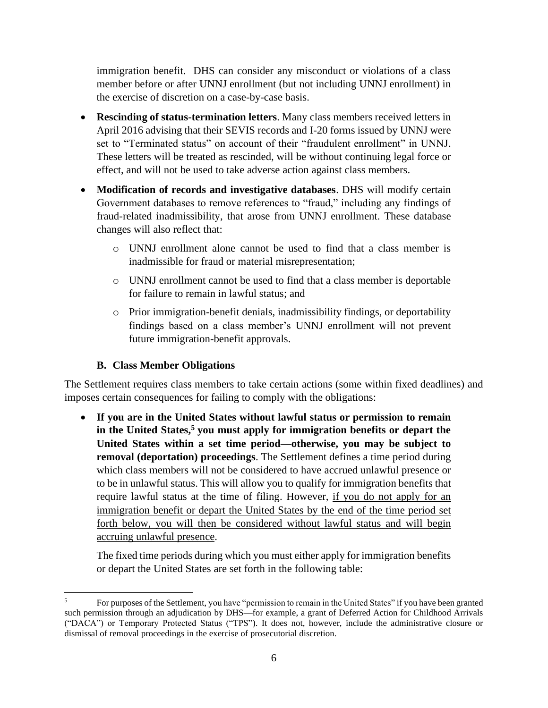immigration benefit. DHS can consider any misconduct or violations of a class member before or after UNNJ enrollment (but not including UNNJ enrollment) in the exercise of discretion on a case-by-case basis.

- **Rescinding of status-termination letters**. Many class members received letters in April 2016 advising that their SEVIS records and I-20 forms issued by UNNJ were set to "Terminated status" on account of their "fraudulent enrollment" in UNNJ. These letters will be treated as rescinded, will be without continuing legal force or effect, and will not be used to take adverse action against class members.
- **Modification of records and investigative databases**. DHS will modify certain Government databases to remove references to "fraud," including any findings of fraud-related inadmissibility, that arose from UNNJ enrollment. These database changes will also reflect that:
	- o UNNJ enrollment alone cannot be used to find that a class member is inadmissible for fraud or material misrepresentation;
	- o UNNJ enrollment cannot be used to find that a class member is deportable for failure to remain in lawful status; and
	- o Prior immigration-benefit denials, inadmissibility findings, or deportability findings based on a class member's UNNJ enrollment will not prevent future immigration-benefit approvals.

### **B. Class Member Obligations**

The Settlement requires class members to take certain actions (some within fixed deadlines) and imposes certain consequences for failing to comply with the obligations:

• **If you are in the United States without lawful status or permission to remain in the United States, <sup>5</sup> you must apply for immigration benefits or depart the United States within a set time period—otherwise, you may be subject to removal (deportation) proceedings**. The Settlement defines a time period during which class members will not be considered to have accrued unlawful presence or to be in unlawful status. This will allow you to qualify for immigration benefits that require lawful status at the time of filing. However, if you do not apply for an immigration benefit or depart the United States by the end of the time period set forth below, you will then be considered without lawful status and will begin accruing unlawful presence.

The fixed time periods during which you must either apply for immigration benefits or depart the United States are set forth in the following table:

<sup>5</sup> For purposes of the Settlement, you have "permission to remain in the United States" if you have been granted such permission through an adjudication by DHS—for example, a grant of Deferred Action for Childhood Arrivals ("DACA") or Temporary Protected Status ("TPS"). It does not, however, include the administrative closure or dismissal of removal proceedings in the exercise of prosecutorial discretion.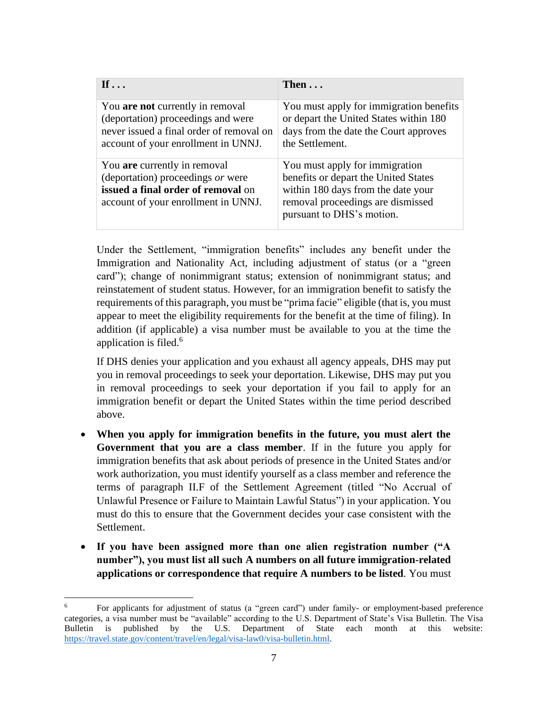| If $\ldots$                                                                                                                                               | Then $\ldots$                                                                                                                                                                  |
|-----------------------------------------------------------------------------------------------------------------------------------------------------------|--------------------------------------------------------------------------------------------------------------------------------------------------------------------------------|
| You are not currently in removal<br>(deportation) proceedings and were<br>never issued a final order of removal on<br>account of your enrollment in UNNJ. | You must apply for immigration benefits<br>or depart the United States within 180<br>days from the date the Court approves<br>the Settlement.                                  |
| You are currently in removal<br>(deportation) proceedings or were<br>issued a final order of removal on<br>account of your enrollment in UNNJ.            | You must apply for immigration<br>benefits or depart the United States<br>within 180 days from the date your<br>removal proceedings are dismissed<br>pursuant to DHS's motion. |

Under the Settlement, "immigration benefits" includes any benefit under the Immigration and Nationality Act, including adjustment of status (or a "green card"); change of nonimmigrant status; extension of nonimmigrant status; and reinstatement of student status. However, for an immigration benefit to satisfy the requirements of this paragraph, you must be "prima facie" eligible (that is, you must appear to meet the eligibility requirements for the benefit at the time of filing). In addition (if applicable) a visa number must be available to you at the time the application is filed. 6

If DHS denies your application and you exhaust all agency appeals, DHS may put you in removal proceedings to seek your deportation. Likewise, DHS may put you in removal proceedings to seek your deportation if you fail to apply for an immigration benefit or depart the United States within the time period described above.

- **When you apply for immigration benefits in the future, you must alert the Government that you are a class member**. If in the future you apply for immigration benefits that ask about periods of presence in the United States and/or work authorization, you must identify yourself as a class member and reference the terms of paragraph II.F of the Settlement Agreement (titled "No Accrual of Unlawful Presence or Failure to Maintain Lawful Status") in your application. You must do this to ensure that the Government decides your case consistent with the Settlement.
- **If you have been assigned more than one alien registration number ("A number"), you must list all such A numbers on all future immigration-related applications or correspondence that require A numbers to be listed**. You must

<sup>6</sup> For applicants for adjustment of status (a "green card") under family- or employment-based preference categories, a visa number must be "available" according to the U.S. Department of State's Visa Bulletin. The Visa Bulletin is published by the U.S. Department of State each month at this website: [https://travel.state.gov/content/travel/en/legal/visa-law0/visa-bulletin.html.](https://travel.state.gov/content/travel/en/legal/visa-law0/visa-bulletin.html)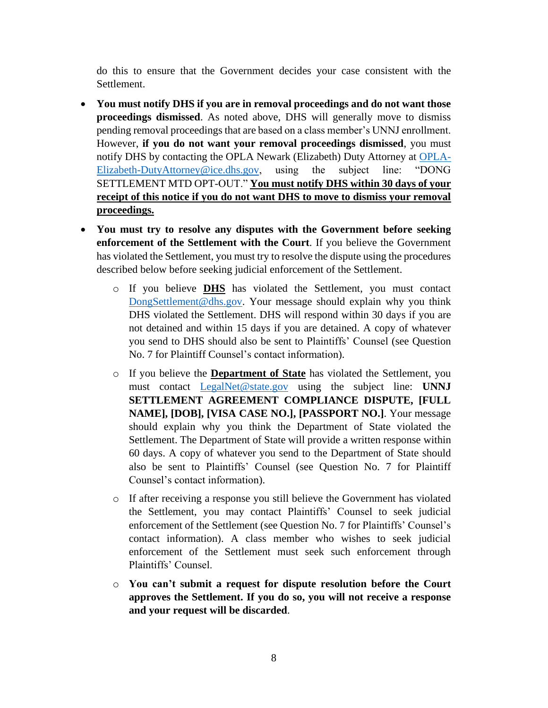do this to ensure that the Government decides your case consistent with the Settlement.

- **You must notify DHS if you are in removal proceedings and do not want those proceedings dismissed**. As noted above, DHS will generally move to dismiss pending removal proceedings that are based on a class member's UNNJ enrollment. However, **if you do not want your removal proceedings dismissed**, you must notify DHS by contacting the OPLA Newark (Elizabeth) Duty Attorney at [OPLA-](mailto:OPLA-Elizabeth-DutyAttorney@ice.dhs.gov)[Elizabeth-DutyAttorney@ice.dhs.gov,](mailto:OPLA-Elizabeth-DutyAttorney@ice.dhs.gov) using the subject line: "DONG SETTLEMENT MTD OPT-OUT." **You must notify DHS within 30 days of your receipt of this notice if you do not want DHS to move to dismiss your removal proceedings.**
- **You must try to resolve any disputes with the Government before seeking enforcement of the Settlement with the Court**. If you believe the Government has violated the Settlement, you must try to resolve the dispute using the procedures described below before seeking judicial enforcement of the Settlement.
	- o If you believe **DHS** has violated the Settlement, you must contact [DongSettlement@dhs.gov.](mailto:DongSettlement@dhs.gov) Your message should explain why you think DHS violated the Settlement. DHS will respond within 30 days if you are not detained and within 15 days if you are detained. A copy of whatever you send to DHS should also be sent to Plaintiffs' Counsel (see Question No. 7 for Plaintiff Counsel's contact information).
	- o If you believe the **Department of State** has violated the Settlement, you must contact [LegalNet@state.gov](mailto:LegalNet@state.gov) using the subject line: **UNNJ SETTLEMENT AGREEMENT COMPLIANCE DISPUTE, [FULL NAME], [DOB], [VISA CASE NO.], [PASSPORT NO.]**. Your message should explain why you think the Department of State violated the Settlement. The Department of State will provide a written response within 60 days. A copy of whatever you send to the Department of State should also be sent to Plaintiffs' Counsel (see Question No. 7 for Plaintiff Counsel's contact information).
	- o If after receiving a response you still believe the Government has violated the Settlement, you may contact Plaintiffs' Counsel to seek judicial enforcement of the Settlement (see Question No. 7 for Plaintiffs' Counsel's contact information). A class member who wishes to seek judicial enforcement of the Settlement must seek such enforcement through Plaintiffs' Counsel.
	- o **You can't submit a request for dispute resolution before the Court approves the Settlement. If you do so, you will not receive a response and your request will be discarded**.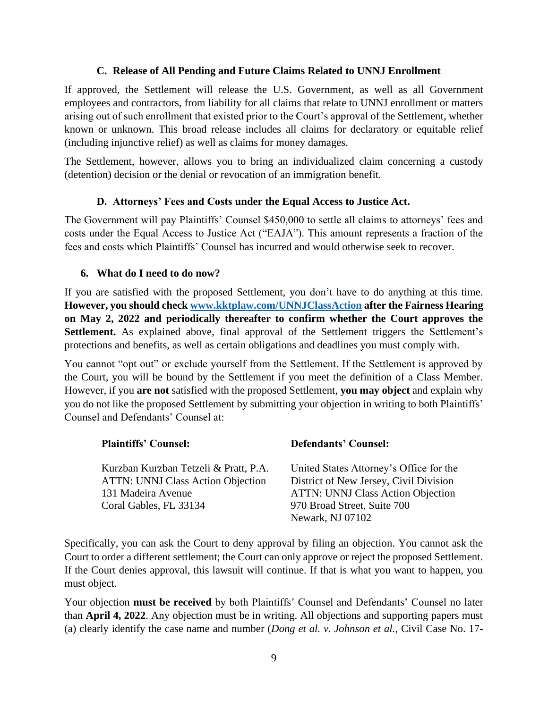#### **C. Release of All Pending and Future Claims Related to UNNJ Enrollment**

If approved, the Settlement will release the U.S. Government, as well as all Government employees and contractors, from liability for all claims that relate to UNNJ enrollment or matters arising out of such enrollment that existed prior to the Court's approval of the Settlement, whether known or unknown. This broad release includes all claims for declaratory or equitable relief (including injunctive relief) as well as claims for money damages.

The Settlement, however, allows you to bring an individualized claim concerning a custody (detention) decision or the denial or revocation of an immigration benefit.

#### **D. Attorneys' Fees and Costs under the Equal Access to Justice Act.**

The Government will pay Plaintiffs' Counsel \$450,000 to settle all claims to attorneys' fees and costs under the Equal Access to Justice Act ("EAJA"). This amount represents a fraction of the fees and costs which Plaintiffs' Counsel has incurred and would otherwise seek to recover.

#### **6. What do I need to do now?**

If you are satisfied with the proposed Settlement, you don't have to do anything at this time. **However, you should chec[k www.kktplaw.com/UNNJClassAction](http://www.kktplaw.com/UNNJClassAction) after the Fairness Hearing on May 2, 2022 and periodically thereafter to confirm whether the Court approves the**  Settlement. As explained above, final approval of the Settlement triggers the Settlement's protections and benefits, as well as certain obligations and deadlines you must comply with.

You cannot "opt out" or exclude yourself from the Settlement. If the Settlement is approved by the Court, you will be bound by the Settlement if you meet the definition of a Class Member. However, if you **are not** satisfied with the proposed Settlement, **you may object** and explain why you do not like the proposed Settlement by submitting your objection in writing to both Plaintiffs' Counsel and Defendants' Counsel at:

| <b>Plaintiffs' Counsel:</b>                                                                                                       | <b>Defendants' Counsel:</b>                                                                                                                                                      |
|-----------------------------------------------------------------------------------------------------------------------------------|----------------------------------------------------------------------------------------------------------------------------------------------------------------------------------|
| Kurzban Kurzban Tetzeli & Pratt, P.A.<br><b>ATTN: UNNJ Class Action Objection</b><br>131 Madeira Avenue<br>Coral Gables, FL 33134 | United States Attorney's Office for the<br>District of New Jersey, Civil Division<br><b>ATTN: UNNJ Class Action Objection</b><br>970 Broad Street, Suite 700<br>Newark, NJ 07102 |

Specifically, you can ask the Court to deny approval by filing an objection. You cannot ask the Court to order a different settlement; the Court can only approve or reject the proposed Settlement. If the Court denies approval, this lawsuit will continue. If that is what you want to happen, you must object.

Your objection **must be received** by both Plaintiffs' Counsel and Defendants' Counsel no later than **April 4, 2022**. Any objection must be in writing. All objections and supporting papers must (a) clearly identify the case name and number (*Dong et al. v. Johnson et al.*, Civil Case No. 17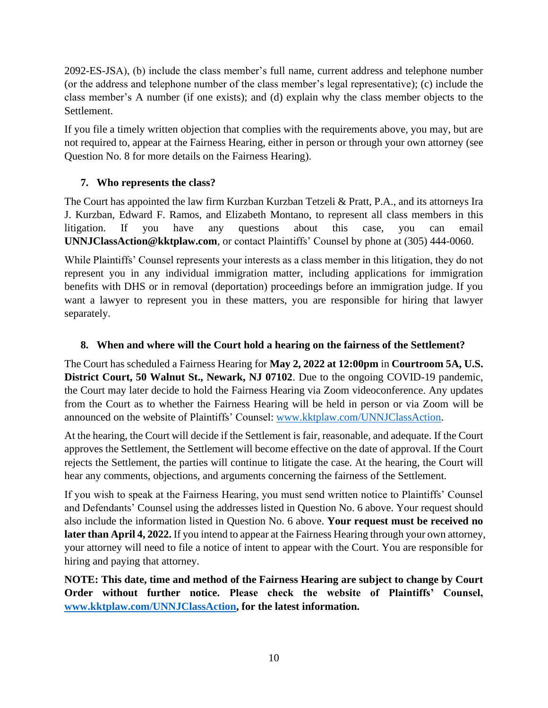2092-ES-JSA), (b) include the class member's full name, current address and telephone number (or the address and telephone number of the class member's legal representative); (c) include the class member's A number (if one exists); and (d) explain why the class member objects to the Settlement.

If you file a timely written objection that complies with the requirements above, you may, but are not required to, appear at the Fairness Hearing, either in person or through your own attorney (see Question No. 8 for more details on the Fairness Hearing).

### **7. Who represents the class?**

The Court has appointed the law firm Kurzban Kurzban Tetzeli & Pratt, P.A., and its attorneys Ira J. Kurzban, Edward F. Ramos, and Elizabeth Montano, to represent all class members in this litigation. If you have any questions about this case, you can email **UNNJClassAction@kktplaw.com**, or contact Plaintiffs' Counsel by phone at (305) 444-0060.

While Plaintiffs' Counsel represents your interests as a class member in this litigation, they do not represent you in any individual immigration matter, including applications for immigration benefits with DHS or in removal (deportation) proceedings before an immigration judge. If you want a lawyer to represent you in these matters, you are responsible for hiring that lawyer separately.

### **8. When and where will the Court hold a hearing on the fairness of the Settlement?**

The Court has scheduled a Fairness Hearing for **May 2, 2022 at 12:00pm** in **Courtroom 5A, U.S. District Court, 50 Walnut St., Newark, NJ 07102**. Due to the ongoing COVID-19 pandemic, the Court may later decide to hold the Fairness Hearing via Zoom videoconference. Any updates from the Court as to whether the Fairness Hearing will be held in person or via Zoom will be announced on the website of Plaintiffs' Counsel: [www.kktplaw.com/UNNJClassAction.](http://www.kktplaw.com/UNNJClassAction)

At the hearing, the Court will decide if the Settlement is fair, reasonable, and adequate. If the Court approves the Settlement, the Settlement will become effective on the date of approval. If the Court rejects the Settlement, the parties will continue to litigate the case. At the hearing, the Court will hear any comments, objections, and arguments concerning the fairness of the Settlement.

If you wish to speak at the Fairness Hearing, you must send written notice to Plaintiffs' Counsel and Defendants' Counsel using the addresses listed in Question No. 6 above. Your request should also include the information listed in Question No. 6 above. **Your request must be received no later than April 4, 2022.** If you intend to appear at the Fairness Hearing through your own attorney, your attorney will need to file a notice of intent to appear with the Court. You are responsible for hiring and paying that attorney.

**NOTE: This date, time and method of the Fairness Hearing are subject to change by Court Order without further notice. Please check the website of Plaintiffs' Counsel, [www.kktplaw.com/UNNJClassAction,](http://www.kktplaw.com/UNNJClassAction) for the latest information.**